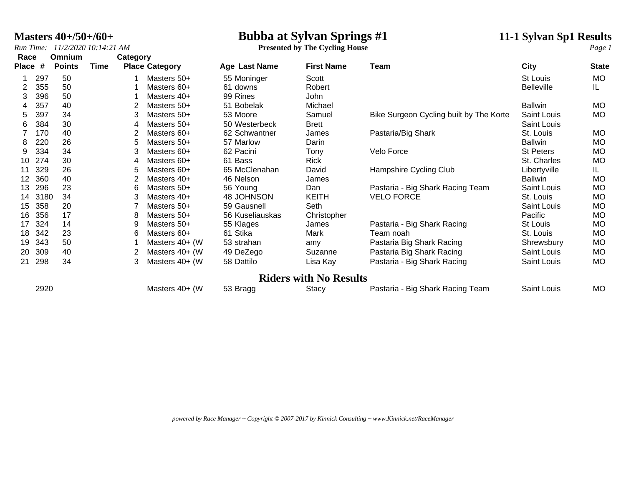*Run Time: 11/2/2020 10:14:21 AM* **Presented by The Cycling House** *Page 1*

### **Masters 40+/50+/60+**<br> *Run Time:* 11/2/2020 10:14:21 AM<br> **Presented by The Cycling House**<br> **11-1 Sylvan Sp1 Results**<br> *Page 1*

| Race         |      | Omnium        |      | Category |                       |                      |                               |                                         |                   | $\circ$      |
|--------------|------|---------------|------|----------|-----------------------|----------------------|-------------------------------|-----------------------------------------|-------------------|--------------|
| <b>Place</b> | #    | <b>Points</b> | Time |          | <b>Place Category</b> | <b>Age Last Name</b> | <b>First Name</b>             | Team                                    | City              | <b>State</b> |
|              | 297  | 50            |      |          | Masters 50+           | 55 Moninger          | Scott                         |                                         | St Louis          | MO           |
| 2            | 355  | 50            |      |          | Masters 60+           | 61 downs             | Robert                        |                                         | <b>Belleville</b> | IL.          |
| 3            | 396  | 50            |      |          | Masters 40+           | 99 Rines             | John                          |                                         |                   |              |
| 4            | 357  | 40            |      |          | Masters 50+           | 51 Bobelak           | Michael                       |                                         | <b>Ballwin</b>    | MO           |
| 5.           | 397  | 34            |      | 3        | Masters 50+           | 53 Moore             | Samuel                        | Bike Surgeon Cycling built by The Korte | Saint Louis       | MO           |
| 6            | 384  | 30            |      | 4        | Masters 50+           | 50 Westerbeck        | <b>Brett</b>                  |                                         | Saint Louis       |              |
|              | 170  | 40            |      |          | Masters 60+           | 62 Schwantner        | James                         | Pastaria/Big Shark                      | St. Louis         | MO           |
| 8            | 220  | 26            |      | 5        | Masters 50+           | 57 Marlow            | Darin                         |                                         | <b>Ballwin</b>    | MO           |
| 9            | 334  | 34            |      |          | Masters 60+           | 62 Pacini            | Tony                          | Velo Force                              | <b>St Peters</b>  | MO           |
| 10           | 274  | 30            |      | 4        | Masters 60+           | 61 Bass              | <b>Rick</b>                   |                                         | St. Charles       | <b>MO</b>    |
| 11           | 329  | 26            |      | 5        | Masters 60+           | 65 McClenahan        | David                         | Hampshire Cycling Club                  | Libertyville      | IL.          |
| 12           | 360  | 40            |      |          | Masters 40+           | 46 Nelson            | James                         |                                         | <b>Ballwin</b>    | <b>MO</b>    |
| 13           | 296  | 23            |      | 6        | Masters 50+           | 56 Young             | Dan                           | Pastaria - Big Shark Racing Team        | Saint Louis       | <b>MO</b>    |
| 14           | 3180 | 34            |      |          | Masters 40+           | 48 JOHNSON           | <b>KEITH</b>                  | <b>VELO FORCE</b>                       | St. Louis         | <b>MO</b>    |
| 15           | 358  | 20            |      |          | Masters 50+           | 59 Gausnell          | Seth                          |                                         | Saint Louis       | <b>MO</b>    |
| 16           | 356  | 17            |      | 8        | Masters 50+           | 56 Kuseliauskas      | Christopher                   |                                         | Pacific           | <b>MO</b>    |
| 17           | 324  | 14            |      | 9        | Masters 50+           | 55 Klages            | James                         | Pastaria - Big Shark Racing             | St Louis          | <b>MO</b>    |
| 18           | 342  | 23            |      | 6        | Masters 60+           | 61 Stika             | Mark                          | Team noah                               | St. Louis         | MO           |
| 19           | 343  | 50            |      |          | Masters 40+ (W        | 53 strahan           | amy                           | Pastaria Big Shark Racing               | Shrewsbury        | MO           |
| 20           | 309  | 40            |      |          | Masters 40+ (W        | 49 DeZego            | Suzanne                       | Pastaria Big Shark Racing               | Saint Louis       | <b>MO</b>    |
| 21           | 298  | 34            |      | 3        | Masters 40+ (W        | 58 Dattilo           | Lisa Kay                      | Pastaria - Big Shark Racing             | Saint Louis       | MO           |
|              |      |               |      |          |                       |                      | <b>Riders with No Results</b> |                                         |                   |              |
|              | 2920 |               |      |          | Masters 40+ (W        | 53 Bragg             | Stacy                         | Pastaria - Big Shark Racing Team        | Saint Louis       | MO           |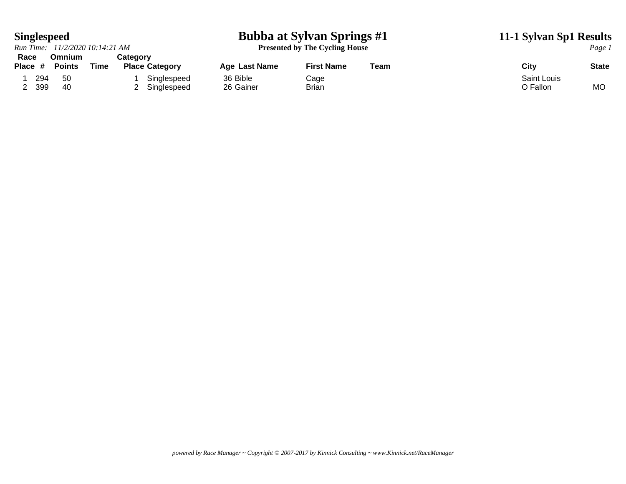### **Singlespeed Bubba at Sylvan Springs #1 11-1 Sylvan Sp1 Results**

**Presented by The Cycling House** *Page 1* 

|           |     | Run Time: 11/2/2020 10:14:21 AM |      |          |                       |               | Presented by The Cycling House |      |             |              |  |
|-----------|-----|---------------------------------|------|----------|-----------------------|---------------|--------------------------------|------|-------------|--------------|--|
| Race      |     | Omnium                          |      | Categorv |                       |               |                                |      |             |              |  |
| Place $#$ |     | <b>Points</b>                   | Time |          | <b>Place Category</b> | Age Last Name | <b>First Name</b>              | Team | City        | <b>State</b> |  |
|           | 294 | 50                              |      |          | Singlespeed           | 36 Bible      | Cage                           |      | Saint Louis |              |  |
|           | 399 | -40                             |      |          | Singlespeed           | 26 Gainer     | Brian                          |      | O Fallon    | <b>MO</b>    |  |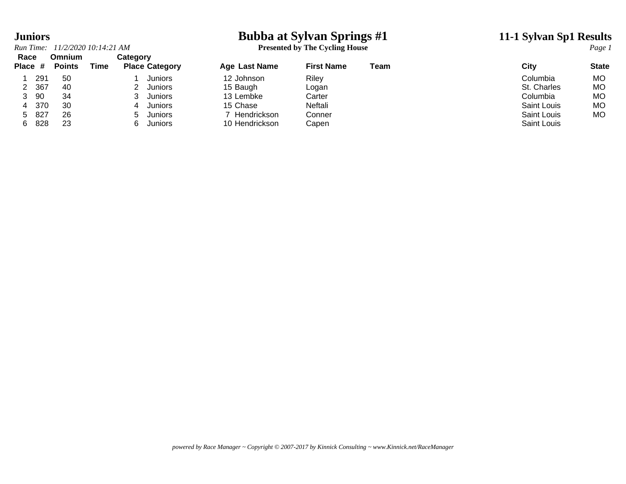### **Juniors Bubba at Sylvan Springs #1 11-1 Sylvan Sp1 Results**

*Run Time: 11/2/2020 10:14:21 AM* **Presented by The Cycling House** *Page 1*

| Race<br>Place # |     | <b>Omnium</b><br><b>Points</b> | Time | Category<br><b>Place Category</b> | Age Last Name  | <b>First Name</b> | Team | City        | <b>State</b> |
|-----------------|-----|--------------------------------|------|-----------------------------------|----------------|-------------------|------|-------------|--------------|
|                 | 291 | -50                            |      | Juniors                           | 12 Johnson     | Riley             |      | Columbia    | <b>MO</b>    |
| 2               | 367 | 40                             |      | <b>Juniors</b>                    | 15 Baugh       | Logan             |      | St. Charles | <b>MO</b>    |
| 3               | 90  | 34                             |      | Juniors                           | 13 Lembke      | Carter            |      | Columbia    | <b>MO</b>    |
|                 | 370 | 30                             |      | <b>Juniors</b>                    | 15 Chase       | Neftali           |      | Saint Louis | MO           |
| $5 -$           | 827 | 26                             |      | <b>Juniors</b><br>$\mathcal{D}$   | Hendrickson    | Conner            |      | Saint Louis | MO           |
| 6.              | 828 | 23                             |      | Juniors<br>6.                     | 10 Hendrickson | Capen             |      | Saint Louis |              |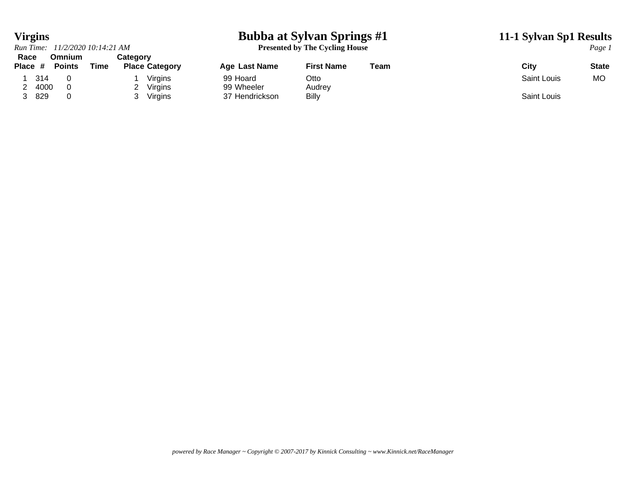### **Virgins Bubba at Sylvan Springs #1 11-1 Sylvan Sp1 Results**

**Presented by The Cycling House** *Page 1* 

|                 | Run Time: 11/2/2020 10:14:21 AM |      |                                   |                              | <b>Presented by The Cycling House</b> |      | Page.       |           |
|-----------------|---------------------------------|------|-----------------------------------|------------------------------|---------------------------------------|------|-------------|-----------|
| Race<br>Place # | <b>Omnium</b><br><b>Points</b>  | Time | Categorv<br><b>Place Category</b> | Age Last Name                | <b>First Name</b>                     | Team | City        | State     |
| -314            |                                 |      | Virains                           | 99 Hoard                     | Otto                                  |      | Saint Louis | <b>MO</b> |
| 4000<br>829     |                                 |      | Virgins<br>Virgins                | 99 Wheeler<br>37 Hendrickson | Audrey<br><b>Billy</b>                |      | Saint Louis |           |

*powered by Race Manager ~ Copyright © 2007-2017 by Kinnick Consulting ~ www.Kinnick.net/RaceManager*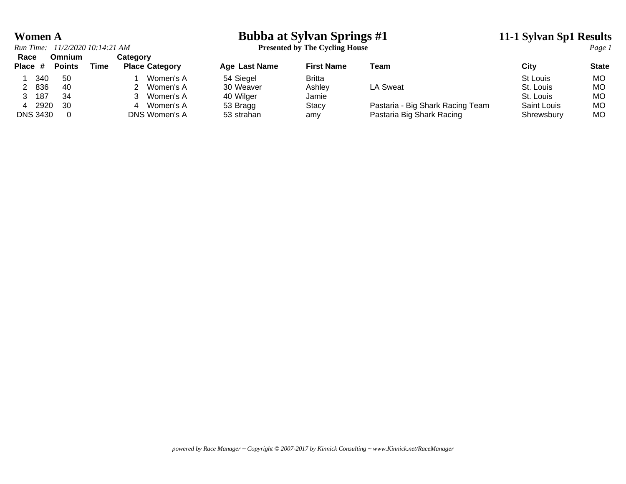# **Women A**<br>*Run Time:* 11/2/2020 10:14:21 AM<br>**Presented by The Cycling House**<br>*Page 1*

*Run Time: 11/2/2020 10:14:21 AM* **Presented by The Cycling House** *Page 1*

| Race            | Omnium        |      | <b>Category</b>       |               |                   |                                  |                 |              |
|-----------------|---------------|------|-----------------------|---------------|-------------------|----------------------------------|-----------------|--------------|
| Place #         | <b>Points</b> | Time | <b>Place Category</b> | Age Last Name | <b>First Name</b> | Team                             | City            | <b>State</b> |
| 340             | 50            |      | Women's A             | 54 Siegel     | <b>Britta</b>     |                                  | <b>St Louis</b> | МO           |
| 836             | -40           |      | Women's A             | 30 Weaver     | Ashley            | LA Sweat                         | St. Louis       | МO           |
| 187             | 34            |      | Women's A             | 40 Wilger     | Jamie             |                                  | St. Louis       | МO           |
| 2920            | - 30          |      | Women's A<br>4        | 53 Bragg      | <b>Stacy</b>      | Pastaria - Big Shark Racing Team | Saint Louis     | МO           |
| <b>DNS 3430</b> |               |      | DNS Women's A         | 53 strahan    | amy               | Pastaria Big Shark Racing        | Shrewsbury      | МO           |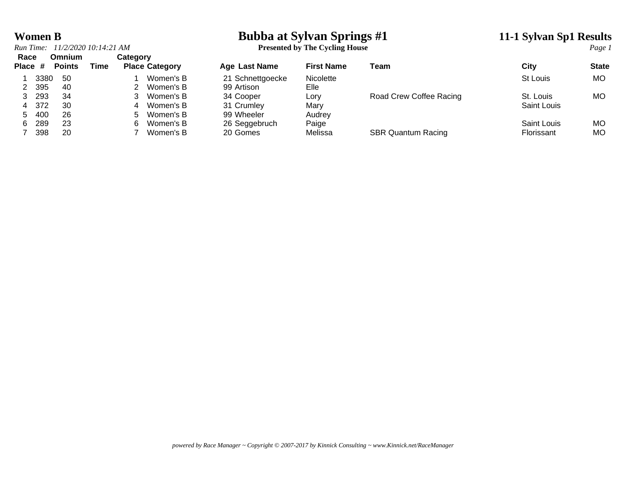## **Women B**<br> **Bubba at Sylvan Springs #1 11-1 Sylvan Sp1 Results**<br> **Presented by The Cycling House 11-1 Sylvan Sp1 Results**

| The Cycling House<br>11/2/2020 10:14:21 AM<br>Run Time:<br><b>Presented by 1</b> | Page |
|----------------------------------------------------------------------------------|------|
|----------------------------------------------------------------------------------|------|

|     | Omnium<br><b>Points</b>       | Time |    |           | <b>Age Last Name</b>              | <b>First Name</b> | Team                      | City        | <b>State</b> |
|-----|-------------------------------|------|----|-----------|-----------------------------------|-------------------|---------------------------|-------------|--------------|
|     | -50                           |      |    | Women's B | 21 Schnettgoecke                  | Nicolette         |                           | St Louis    | <b>MO</b>    |
| 395 | -40                           |      |    | Women's B | 99 Artison                        | Elle              |                           |             |              |
| 293 | 34                            |      |    | Women's B | 34 Cooper                         | Lory              | Road Crew Coffee Racing   | St. Louis   | <b>MO</b>    |
|     | -30                           |      | 4  | Women's B | 31 Crumley                        | Mary              |                           | Saint Louis |              |
|     | 26                            |      | h. | Women's B | 99 Wheeler                        | Audrey            |                           |             |              |
| 289 | 23                            |      | 6. | Women's B |                                   | Paige             |                           | Saint Louis | <b>MO</b>    |
| 398 | 20                            |      |    | Women's B | 20 Gomes                          | Melissa           | <b>SBR Quantum Racing</b> | Florissant  | <b>MO</b>    |
|     | Race<br>Place #<br>372<br>400 | 3380 |    |           | Category<br><b>Place Category</b> | 26 Seggebruch     |                           |             |              |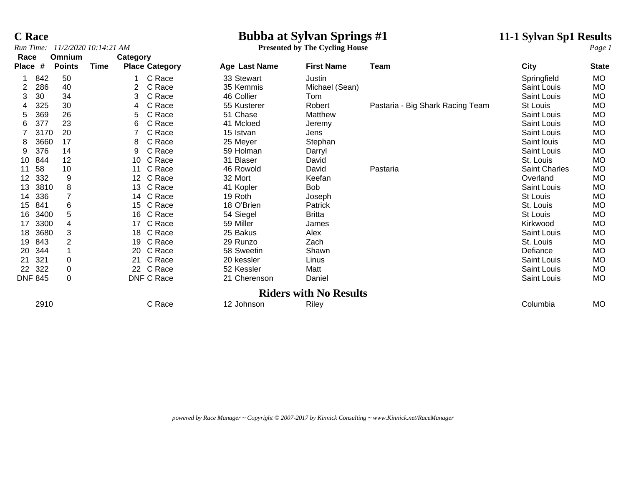## **C Race**<br> **Bubba at Sylvan Springs #1** 11-1 Sylvan Sp1 Results<br> **Presented by The Cycling House**<br> **11-1 Sylvan Sp1 Results**

**Presented by The Cycling House** 

| Race            |                | Omnium         |      | Category        |                       |               |                               |                                  |                    |              |
|-----------------|----------------|----------------|------|-----------------|-----------------------|---------------|-------------------------------|----------------------------------|--------------------|--------------|
| Place           | #              | <b>Points</b>  | Time |                 | <b>Place Category</b> | Age Last Name | <b>First Name</b>             | Team                             | City               | <b>State</b> |
|                 | 842            | 50             |      |                 | C Race                | 33 Stewart    | Justin                        |                                  | Springfield        | MO           |
| 2               | 286            | 40             |      | 2               | C Race                | 35 Kemmis     | Michael (Sean)                |                                  | Saint Louis        | MO           |
| 3               | 30             | 34             |      | 3               | C Race                | 46 Collier    | Tom                           |                                  | Saint Louis        | MO           |
|                 | 325            | 30             |      | 4               | C Race                | 55 Kusterer   | Robert                        | Pastaria - Big Shark Racing Team | St Louis           | <b>MO</b>    |
| 5               | 369            | 26             |      | 5               | C Race                | 51 Chase      | Matthew                       |                                  | Saint Louis        | MO           |
| 6               | 377            | 23             |      | 6               | C Race                | 41 Mcloed     | Jeremy                        |                                  | Saint Louis        | <b>MO</b>    |
|                 | 3170           | 20             |      |                 | C Race                | 15 Istvan     | Jens                          |                                  | Saint Louis        | <b>MO</b>    |
| 8               | 3660           | 17             |      | 8               | C Race                | 25 Meyer      | Stephan                       |                                  | Saint louis        | <b>MO</b>    |
| 9               | 376            | 14             |      | 9               | C Race                | 59 Holman     | Darryl                        |                                  | <b>Saint Louis</b> | <b>MO</b>    |
| 10              | 844            | 12             |      | 10              | C Race                | 31 Blaser     | David                         |                                  | St. Louis          | <b>MO</b>    |
| 11              | 58             | 10             |      | 11              | C Race                | 46 Rowold     | David                         | Pastaria                         | Saint Charles      | MO           |
| 12 <sup>°</sup> | 332            | 9              |      | 12 <sup>°</sup> | C Race                | 32 Mort       | Keefan                        |                                  | Overland           | MO           |
| 13              | 3810           | 8              |      | 13              | C Race                | 41 Kopler     | Bob                           |                                  | <b>Saint Louis</b> | MO           |
| 14              | 336            |                |      | 14              | C Race                | 19 Roth       | Joseph                        |                                  | St Louis           | MO           |
| 15              | 841            | 6              |      | 15              | C Race                | 18 O'Brien    | Patrick                       |                                  | St. Louis          | <b>MO</b>    |
| 16              | 3400           | 5              |      | 16              | C Race                | 54 Siegel     | <b>Britta</b>                 |                                  | St Louis           | MO           |
| 17              | 3300           | 4              |      | 17              | C Race                | 59 Miller     | James                         |                                  | Kirkwood           | <b>MO</b>    |
| 18              | 3680           | 3              |      | 18              | C Race                | 25 Bakus      | Alex                          |                                  | Saint Louis        | <b>MO</b>    |
| 19              | 843            | $\overline{2}$ |      | 19              | C Race                | 29 Runzo      | Zach                          |                                  | St. Louis          | MO           |
| 20              | 344            |                |      | 20              | C Race                | 58 Sweetin    | Shawn                         |                                  | Defiance           | <b>MO</b>    |
| 21              | 321            | $\mathbf 0$    |      | 21              | C Race                | 20 kessler    | Linus                         |                                  | Saint Louis        | MO           |
| 22              | 322            | $\pmb{0}$      |      |                 | 22 C Race             | 52 Kessler    | Matt                          |                                  | Saint Louis        | <b>MO</b>    |
|                 | <b>DNF 845</b> | 0              |      |                 | DNF C Race            | 21 Cherenson  | Daniel                        |                                  | Saint Louis        | MO.          |
|                 |                |                |      |                 |                       |               | <b>Riders with No Results</b> |                                  |                    |              |
|                 | 2910           |                |      |                 | C Race                | 12 Johnson    | Riley                         |                                  | Columbia           | <b>MO</b>    |
|                 |                |                |      |                 |                       |               |                               |                                  |                    |              |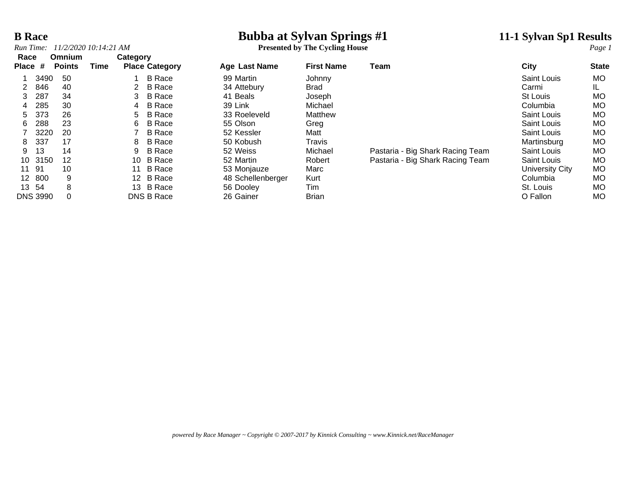## **B Race**<br> **Bubba at Sylvan Springs #1 11-1 Sylvan Sp1 Results**<br> **Presented by The Cycling House**<br> **Page 1**

**Presented by The Cycling House** 

| Race            |                 | Omnium        |      | Category |                       |                   |                   |                                  |                    |              |
|-----------------|-----------------|---------------|------|----------|-----------------------|-------------------|-------------------|----------------------------------|--------------------|--------------|
| Place #         |                 | <b>Points</b> | Time |          | <b>Place Category</b> | Age Last Name     | <b>First Name</b> | Team                             | City               | <b>State</b> |
|                 | 3490            | 50            |      |          | <b>B</b> Race         | 99 Martin         | Johnny            |                                  | Saint Louis        | MO.          |
|                 | 846             | 40            |      | 2        | <b>B</b> Race         | 34 Attebury       | <b>Brad</b>       |                                  | Carmi              | IL.          |
| 3               | 287             | 34            |      | 3.       | <b>B</b> Race         | 41 Beals          | Joseph            |                                  | St Louis           | <b>MO</b>    |
| 4               | 285             | 30            |      | 4        | B Race                | 39 Link           | Michael           |                                  | Columbia           | <b>MO</b>    |
| 5.              | 373             | 26            |      | 5.       | <b>B</b> Race         | 33 Roeleveld      | Matthew           |                                  | Saint Louis        | <b>MO</b>    |
| 6               | 288             | 23            |      | 6        | <b>B</b> Race         | 55 Olson          | Greg              |                                  | <b>Saint Louis</b> | <b>MO</b>    |
|                 | 3220            | 20            |      |          | <b>B</b> Race         | 52 Kessler        | Matt              |                                  | Saint Louis        | <b>MO</b>    |
| 8               | 337             | 17            |      | 8        | <b>B</b> Race         | 50 Kobush         | Travis            |                                  | Martinsburg        | MO.          |
| 9               | 13              | 14            |      | 9        | <b>B</b> Race         | 52 Weiss          | Michael           | Pastaria - Big Shark Racing Team | Saint Louis        | <b>MO</b>    |
| 10              | 3150            | 12            |      | 10       | B Race                | 52 Martin         | Robert            | Pastaria - Big Shark Racing Team | Saint Louis        | <b>MO</b>    |
|                 | 11 91           | 10            |      | 11       | B Race                | 53 Monjauze       | Marc              |                                  | University City    | <b>MO</b>    |
| 12 <sup>1</sup> | 800             | 9             |      |          | 12 B Race             | 48 Schellenberger | Kurt              |                                  | Columbia           | MO.          |
|                 | 13 54           | 8             |      |          | 13 B Race             | 56 Dooley         | Tim               |                                  | St. Louis          | <b>MO</b>    |
|                 | <b>DNS 3990</b> | 0             |      |          | DNS B Race            | 26 Gainer         | <b>Brian</b>      |                                  | O Fallon           | MO.          |